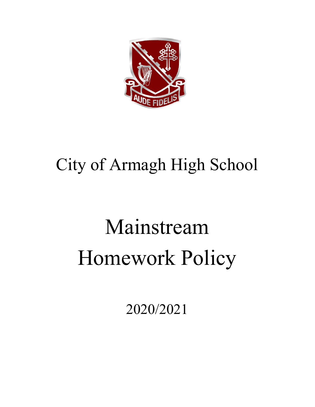

## City of Armagh High School

# Mainstream Homework Policy

2020/2021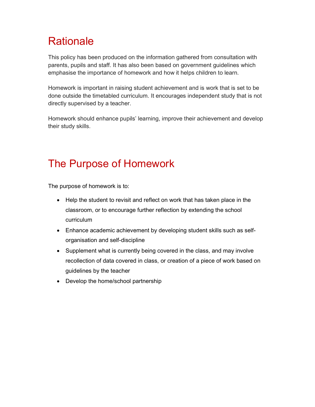### **Rationale**

This policy has been produced on the information gathered from consultation with parents, pupils and staff. It has also been based on government guidelines which emphasise the importance of homework and how it helps children to learn.

Homework is important in raising student achievement and is work that is set to be done outside the timetabled curriculum. It encourages independent study that is not directly supervised by a teacher.

Homework should enhance pupils' learning, improve their achievement and develop their study skills.

### The Purpose of Homework

The purpose of homework is to:

- Help the student to revisit and reflect on work that has taken place in the classroom, or to encourage further reflection by extending the school curriculum
- Enhance academic achievement by developing student skills such as selforganisation and self-discipline
- Supplement what is currently being covered in the class, and may involve recollection of data covered in class, or creation of a piece of work based on guidelines by the teacher
- Develop the home/school partnership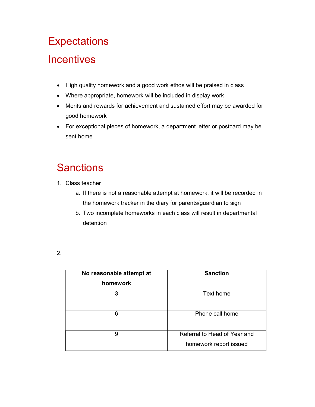### **Expectations**

### **Incentives**

- High quality homework and a good work ethos will be praised in class
- Where appropriate, homework will be included in display work
- Merits and rewards for achievement and sustained effort may be awarded for good homework
- For exceptional pieces of homework, a department letter or postcard may be sent home

### **Sanctions**

- 1. Class teacher
	- a. If there is not a reasonable attempt at homework, it will be recorded in the homework tracker in the diary for parents/guardian to sign
	- b. Two incomplete homeworks in each class will result in departmental detention

<sup>2.</sup> 

| No reasonable attempt at<br>homework | <b>Sanction</b>                                        |
|--------------------------------------|--------------------------------------------------------|
| 3                                    | Text home                                              |
| 6                                    | Phone call home                                        |
| 9                                    | Referral to Head of Year and<br>homework report issued |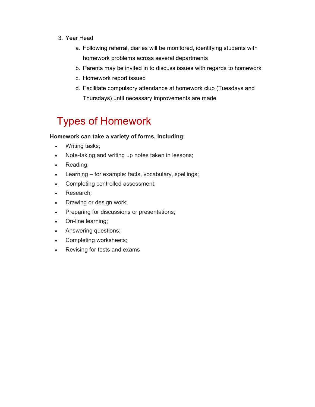- 3. Year Head
	- a. Following referral, diaries will be monitored, identifying students with homework problems across several departments
	- b. Parents may be invited in to discuss issues with regards to homework
	- c. Homework report issued
	- d. Facilitate compulsory attendance at homework club (Tuesdays and Thursdays) until necessary improvements are made

### Types of Homework

#### Homework can take a variety of forms, including:

- Writing tasks;
- Note-taking and writing up notes taken in lessons;
- Reading;
- Learning for example: facts, vocabulary, spellings;
- Completing controlled assessment;
- Research;
- Drawing or design work;
- Preparing for discussions or presentations;
- On-line learning;
- Answering questions;
- Completing worksheets;
- Revising for tests and exams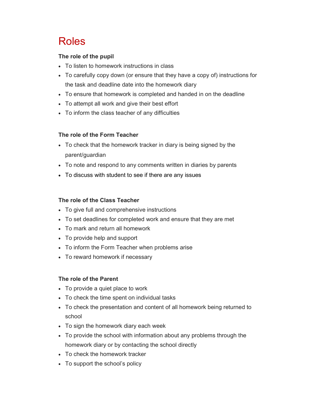### Roles

#### The role of the pupil

- To listen to homework instructions in class
- To carefully copy down (or ensure that they have a copy of) instructions for the task and deadline date into the homework diary
- To ensure that homework is completed and handed in on the deadline
- To attempt all work and give their best effort
- To inform the class teacher of any difficulties

#### The role of the Form Teacher

- To check that the homework tracker in diary is being signed by the parent/guardian
- To note and respond to any comments written in diaries by parents
- To discuss with student to see if there are any issues

#### The role of the Class Teacher

- To give full and comprehensive instructions
- To set deadlines for completed work and ensure that they are met
- To mark and return all homework
- To provide help and support
- To inform the Form Teacher when problems arise
- To reward homework if necessary

#### The role of the Parent

- To provide a quiet place to work
- To check the time spent on individual tasks
- To check the presentation and content of all homework being returned to school
- To sign the homework diary each week
- To provide the school with information about any problems through the homework diary or by contacting the school directly
- To check the homework tracker
- To support the school's policy